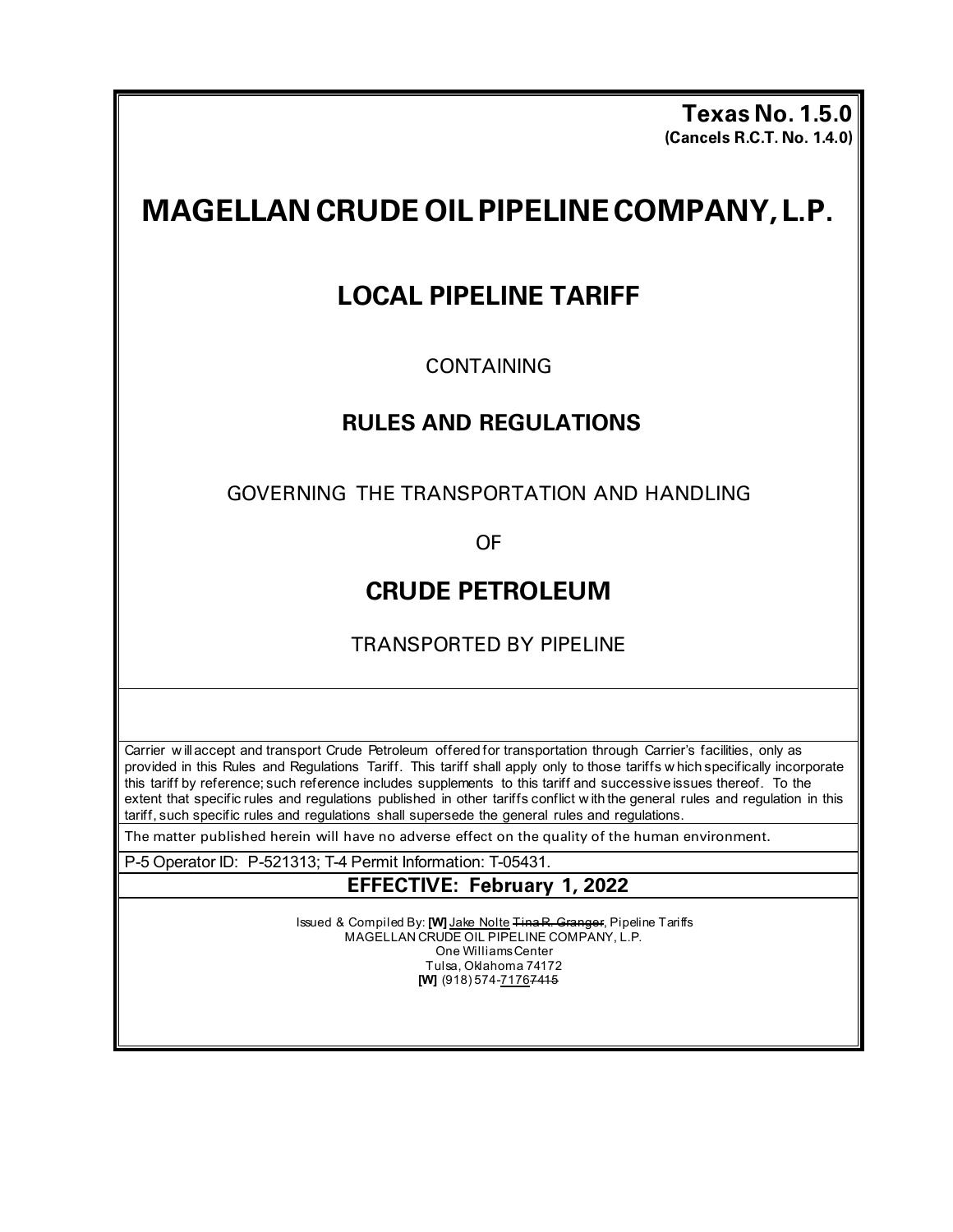**Texas No. 1.5.0 (Cancels R.C.T. No. 1.4.0)** 

# **MAGELLAN CRUDE OILPIPELINECOMPANY,L.P.**

# **LOCAL PIPELINE TARIFF**

# CONTAINING

# **RULES AND REGULATIONS**

GOVERNING THE TRANSPORTATION AND HANDLING

OF

# **CRUDE PETROLEUM**

TRANSPORTED BY PIPELINE

Carrier w ill accept and transport Crude Petroleum offered for transportation through Carrier's facilities, only as provided in this Rules and Regulations Tariff. This tariff shall apply only to those tariffs w hich specifically incorporate this tariff by reference; such reference includes supplements to this tariff and successive issues thereof. To the extent that specific rules and regulations published in other tariffs conflict w ith the general rules and regulation in this tariff, such specific rules and regulations shall supersede the general rules and regulations.

The matter published herein will have no adverse effect on the quality of the human environment.

P-5 Operator ID: P-521313; T-4 Permit Information: T-05431.

# **EFFECTIVE: February 1, 2022**

Issued & Compiled By: **[W]** Jake Nolte Tina R. Granger, Pipeline Tariffs MAGELLAN CRUDE OIL PIPELINE COMPANY, L.P. One Williams Center Tulsa, Oklahoma 74172 **[W]** (918) 574-71767415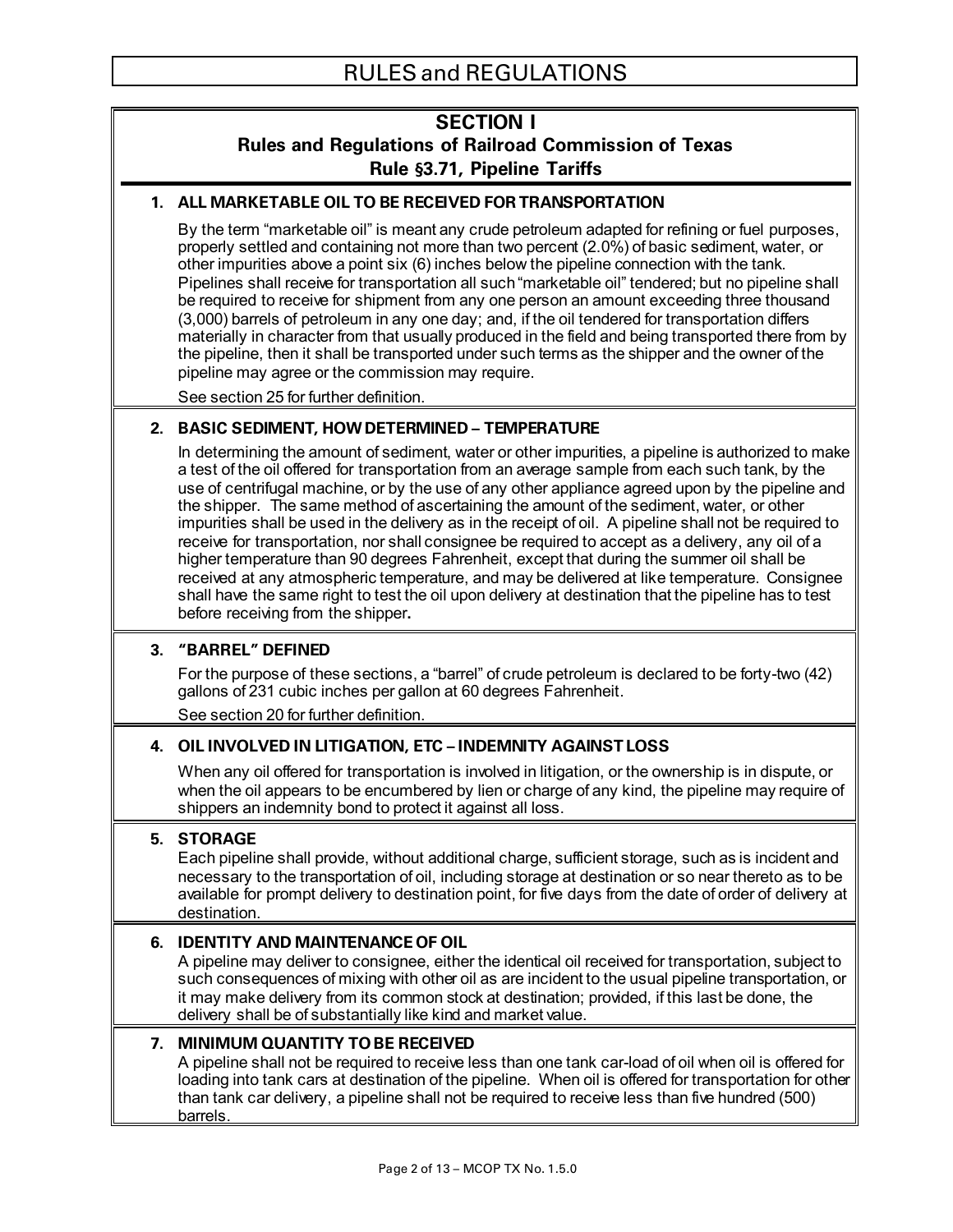# **SECTION I Rules and Regulations of Railroad Commission of Texas Rule §3.71, Pipeline Tariffs**

#### **1. ALL MARKETABLE OIL TO BE RECEIVED FOR TRANSPORTATION**

By the term "marketable oil" is meant any crude petroleum adapted for refining or fuel purposes, properly settled and containing not more than two percent (2.0%) of basic sediment, water, or other impurities above a point six (6) inches below the pipeline connection with the tank. Pipelines shall receive for transportation all such "marketable oil" tendered; but no pipeline shall be required to receive for shipment from any one person an amount exceeding three thousand (3,000) barrels of petroleum in any one day; and, if the oil tendered for transportation differs materially in character from that usually produced in the field and being transported there from by the pipeline, then it shall be transported under such terms as the shipper and the owner of the pipeline may agree or the commission may require.

See section 25 for further definition.

#### **2. BASIC SEDIMENT, HOW DETERMINED – TEMPERATURE**

In determining the amount of sediment, water or other impurities, a pipeline is authorized to make a test of the oil offered for transportation from an average sample from each such tank, by the use of centrifugal machine, or by the use of any other appliance agreed upon by the pipeline and the shipper. The same method of ascertaining the amount of the sediment, water, or other impurities shall be used in the delivery as in the receipt of oil. A pipeline shall not be required to receive for transportation, nor shall consignee be required to accept as a delivery, any oil of a higher temperature than 90 degrees Fahrenheit, except that during the summer oil shall be received at any atmospheric temperature, and may be delivered at like temperature. Consignee shall have the same right to test the oil upon delivery at destination that the pipeline has to test before receiving from the shipper**.**

#### **3. "BARREL" DEFINED**

For the purpose of these sections, a "barrel" of crude petroleum is declared to be forty-two (42) gallons of 231 cubic inches per gallon at 60 degrees Fahrenheit.

See section 20 for further definition.

#### **4. OIL INVOLVED IN LITIGATION, ETC – INDEMNITY AGAINST LOSS**

When any oil offered for transportation is involved in litigation, or the ownership is in dispute, or when the oil appears to be encumbered by lien or charge of any kind, the pipeline may require of shippers an indemnity bond to protect it against all loss.

#### **5. STORAGE**

Each pipeline shall provide, without additional charge, sufficient storage, such as is incident and necessary to the transportation of oil, including storage at destination or so near thereto as to be available for prompt delivery to destination point, for five days from the date of order of delivery at destination.

#### **6. IDENTITY AND MAINTENANCE OF OIL**

A pipeline may deliver to consignee, either the identical oil received for transportation, subject to such consequences of mixing with other oil as are incident to the usual pipeline transportation, or it may make delivery from its common stock at destination; provided, if this last be done, the delivery shall be of substantially like kind and market value.

#### **7. MINIMUM QUANTITY TO BE RECEIVED**

A pipeline shall not be required to receive less than one tank car-load of oil when oil is offered for loading into tank cars at destination of the pipeline. When oil is offered for transportation for other than tank car delivery, a pipeline shall not be required to receive less than five hundred (500) barrels.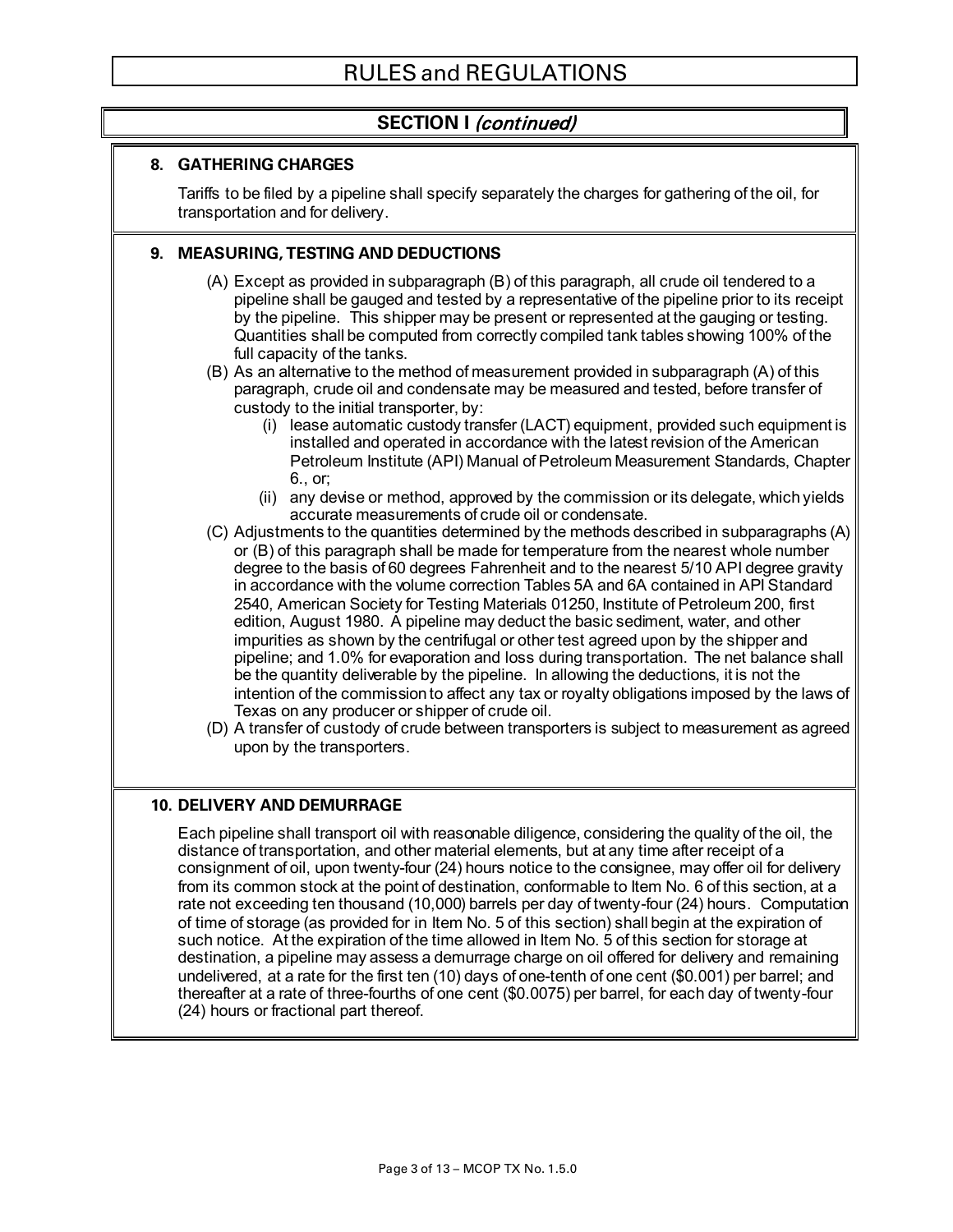# **SECTION I** (continued)

#### **8. GATHERING CHARGES**

Tariffs to be filed by a pipeline shall specify separately the charges for gathering of the oil, for transportation and for delivery.

#### **9. MEASURING, TESTING AND DEDUCTIONS**

- (A) Except as provided in subparagraph (B) of this paragraph, all crude oil tendered to a pipeline shall be gauged and tested by a representative of the pipeline prior to its receipt by the pipeline. This shipper may be present or represented at the gauging or testing. Quantities shall be computed from correctly compiled tank tables showing 100% of the full capacity of the tanks.
- (B) As an alternative to the method of measurement provided in subparagraph (A) of this paragraph, crude oil and condensate may be measured and tested, before transfer of custody to the initial transporter, by:
	- $(i)$  lease automatic custody transfer (LACT) equipment, provided such equipment is installed and operated in accordance with the latest revision of the American Petroleum Institute (API) Manual of Petroleum Measurement Standards, Chapter 6., or;
	- (ii) any devise or method, approved by the commission or its delegate, which yields accurate measurements of crude oil or condensate.
- (C) Adjustments to the quantities determined by the methods described in subparagraphs (A) or (B) of this paragraph shall be made for temperature from the nearest whole number degree to the basis of 60 degrees Fahrenheit and to the nearest 5/10 API degree gravity in accordance with the volume correction Tables 5A and 6A contained in API Standard 2540, American Society for Testing Materials 01250, Institute of Petroleum 200, first edition, August 1980. A pipeline may deduct the basic sediment, water, and other impurities as shown by the centrifugal or other test agreed upon by the shipper and pipeline; and 1.0% for evaporation and loss during transportation. The net balance shall be the quantity deliverable by the pipeline. In allowing the deductions, it is not the intention of the commission to affect any tax or royalty obligations imposed by the laws of Texas on any producer or shipper of crude oil.
- (D) A transfer of custody of crude between transporters is subject to measurement as agreed upon by the transporters.

#### **10. DELIVERY AND DEMURRAGE**

Each pipeline shall transport oil with reasonable diligence, considering the quality of the oil, the distance of transportation, and other material elements, but at any time after receipt of a consignment of oil, upon twenty-four (24) hours notice to the consignee, may offer oil for delivery from its common stock at the point of destination, conformable to Item No. 6 of this section, at a rate not exceeding ten thousand (10,000) barrels per day of twenty-four (24) hours. Computation of time of storage (as provided for in Item No. 5 of this section) shall begin at the expiration of such notice. At the expiration of the time allowed in Item No. 5 of this section for storage at destination, a pipeline may assess a demurrage charge on oil offered for delivery and remaining undelivered, at a rate for the first ten (10) days of one-tenth of one cent (\$0.001) per barrel; and thereafter at a rate of three-fourths of one cent (\$0.0075) per barrel, for each day of twenty-four (24) hours or fractional part thereof.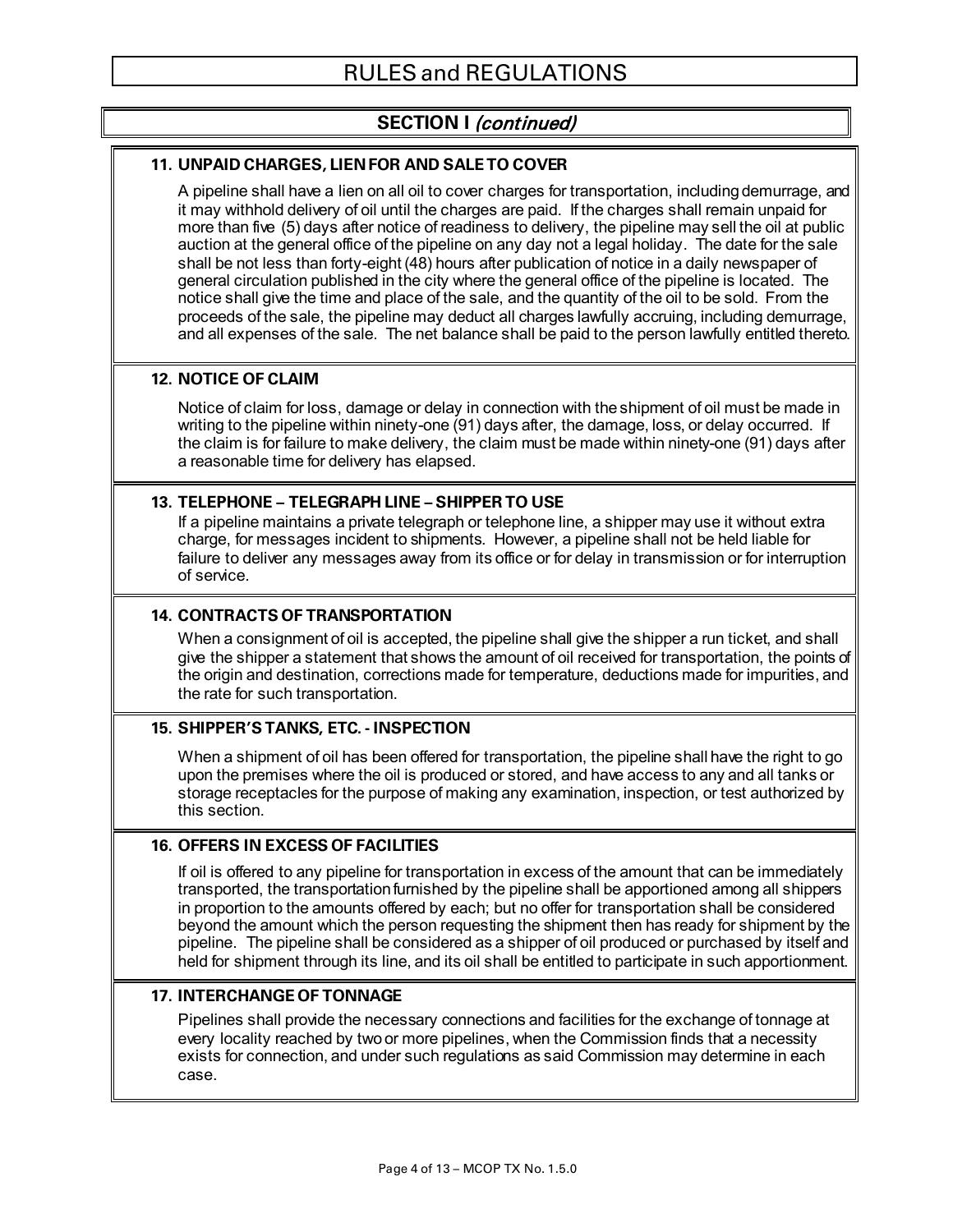# **SECTION I** (continued)

#### **11. UNPAID CHARGES, LIEN FOR AND SALE TO COVER**

A pipeline shall have a lien on all oil to cover charges for transportation, including demurrage, and it may withhold delivery of oil until the charges are paid. If the charges shall remain unpaid for more than five (5) days after notice of readiness to delivery, the pipeline may sell the oil at public auction at the general office of the pipeline on any day not a legal holiday. The date for the sale shall be not less than forty-eight (48) hours after publication of notice in a daily newspaper of general circulation published in the city where the general office of the pipeline is located. The notice shall give the time and place of the sale, and the quantity of the oil to be sold. From the proceeds of the sale, the pipeline may deduct all charges lawfully accruing, including demurrage, and all expenses of the sale. The net balance shall be paid to the person lawfully entitled thereto.

#### **12. NOTICE OF CLAIM**

Notice of claim for loss, damage or delay in connection with the shipment of oil must be made in writing to the pipeline within ninety-one (91) days after, the damage, loss, or delay occurred. If the claim is for failure to make delivery, the claim must be made within ninety-one (91) days after a reasonable time for delivery has elapsed.

#### **13. TELEPHONE – TELEGRAPH LINE – SHIPPER TO USE**

If a pipeline maintains a private telegraph or telephone line, a shipper may use it without extra charge, for messages incident to shipments. However, a pipeline shall not be held liable for failure to deliver any messages away from its office or for delay in transmission or for interruption of service.

#### **14. CONTRACTS OF TRANSPORTATION**

When a consignment of oil is accepted, the pipeline shall give the shipper a run ticket, and shall give the shipper a statement that shows the amount of oil received for transportation, the points of the origin and destination, corrections made for temperature, deductions made for impurities, and the rate for such transportation.

#### **15. SHIPPER'S TANKS, ETC. - INSPECTION**

When a shipment of oil has been offered for transportation, the pipeline shall have the right to go upon the premises where the oil is produced or stored, and have access to any and all tanks or storage receptacles for the purpose of making any examination, inspection, or test authorized by this section.

#### **16. OFFERS IN EXCESS OF FACILITIES**

If oil is offered to any pipeline for transportation in excess of the amount that can be immediately transported, the transportation furnished by the pipeline shall be apportioned among all shippers in proportion to the amounts offered by each; but no offer for transportation shall be considered beyond the amount which the person requesting the shipment then has ready for shipment by the pipeline. The pipeline shall be considered as a shipper of oil produced or purchased by itself and held for shipment through its line, and its oil shall be entitled to participate in such apportionment.

#### **17. INTERCHANGE OF TONNAGE**

Pipelines shall provide the necessary connections and facilities for the exchange of tonnage at every locality reached by two or more pipelines, when the Commission finds that a necessity exists for connection, and under such regulations as said Commission may determine in each case.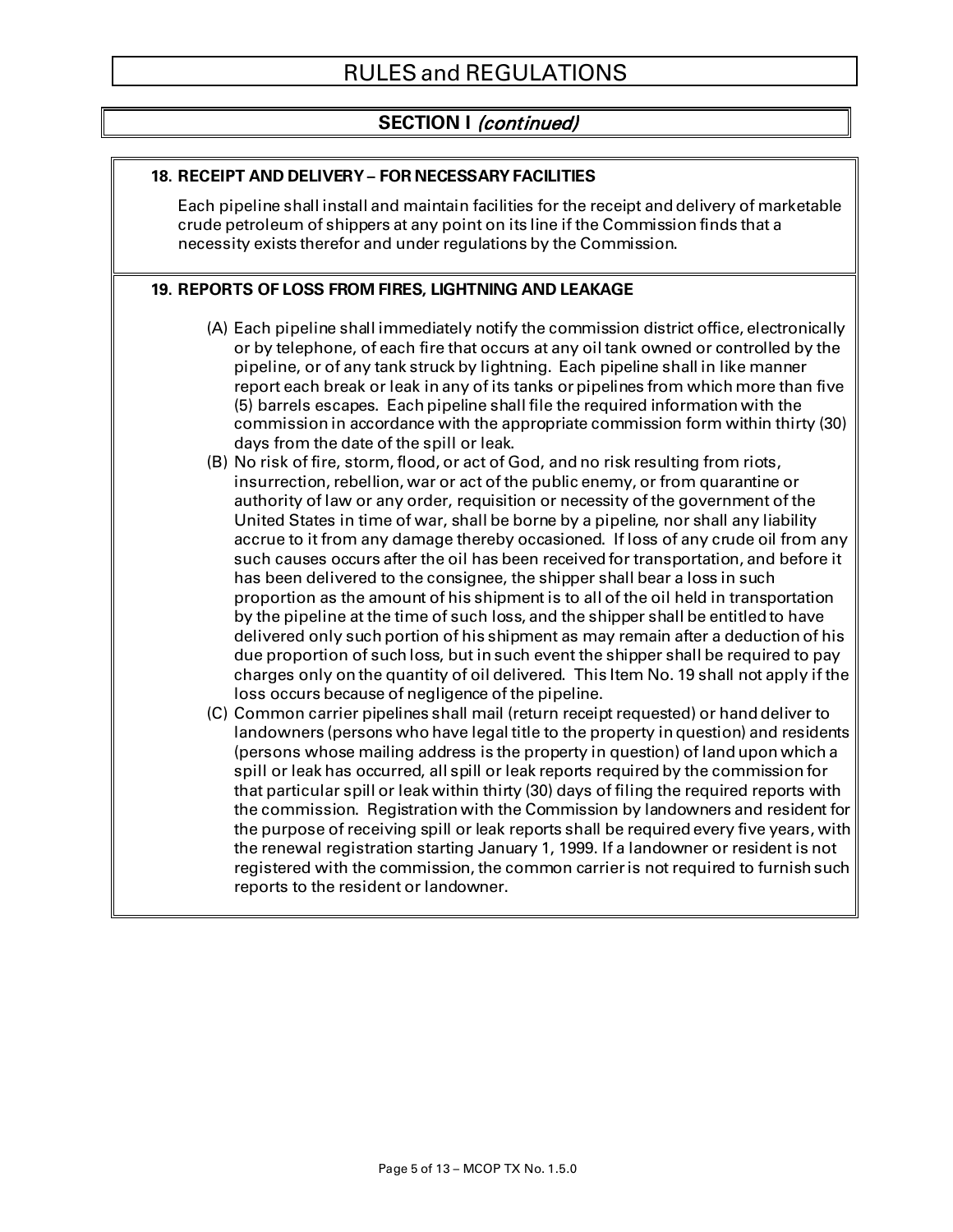# **SECTION I** (continued)

#### **18. RECEIPT AND DELIVERY – FOR NECESSARY FACILITIES**

Each pipeline shall install and maintain facilities for the receipt and delivery of marketable crude petroleum of shippers at any point on its line if the Commission finds that a necessity exists therefor and under regulations by the Commission.

#### **19. REPORTS OF LOSS FROM FIRES, LIGHTNING AND LEAKAGE**

- (A) Each pipeline shall immediately notify the commission district office, electronically or by telephone, of each fire that occurs at any oil tank owned or controlled by the pipeline, or of any tank struck by lightning. Each pipeline shall in like manner report each break or leak in any of its tanks or pipelines from which more than five (5) barrels escapes. Each pipeline shall file the required information with the commission in accordance with the appropriate commission form within thirty (30) days from the date of the spill or leak.
- (B) No risk of fire, storm, flood, or act of God, and no risk resulting from riots, insurrection, rebellion, war or act of the public enemy, or from quarantine or authority of law or any order, requisition or necessity of the government of the United States in time of war, shall be borne by a pipeline, nor shall any liability accrue to it from any damage thereby occasioned. If loss of any crude oil from any such causes occurs after the oil has been received for transportation, and before it has been delivered to the consignee, the shipper shall bear a loss in such proportion as the amount of his shipment is to all of the oil held in transportation by the pipeline at the time of such loss, and the shipper shall be entitled to have delivered only such portion of his shipment as may remain after a deduction of his due proportion of such loss, but in such event the shipper shall be required to pay charges only on the quantity of oil delivered. This Item No. 19 shall not apply if the loss occurs because of negligence of the pipeline.
- (C) Common carrier pipelines shall mail (return receipt requested) or hand deliver to landowners (persons who have legal title to the property in question) and residents (persons whose mailing address is the property in question) of land upon which a spill or leak has occurred, all spill or leak reports required by the commission for that particular spill or leak within thirty (30) days of filing the required reports with the commission. Registration with the Commission by landowners and resident for the purpose of receiving spill or leak reports shall be required every five years, with the renewal registration starting January 1, 1999. If a landowner or resident is not registered with the commission, the common carrier is not required to furnish such reports to the resident or landowner.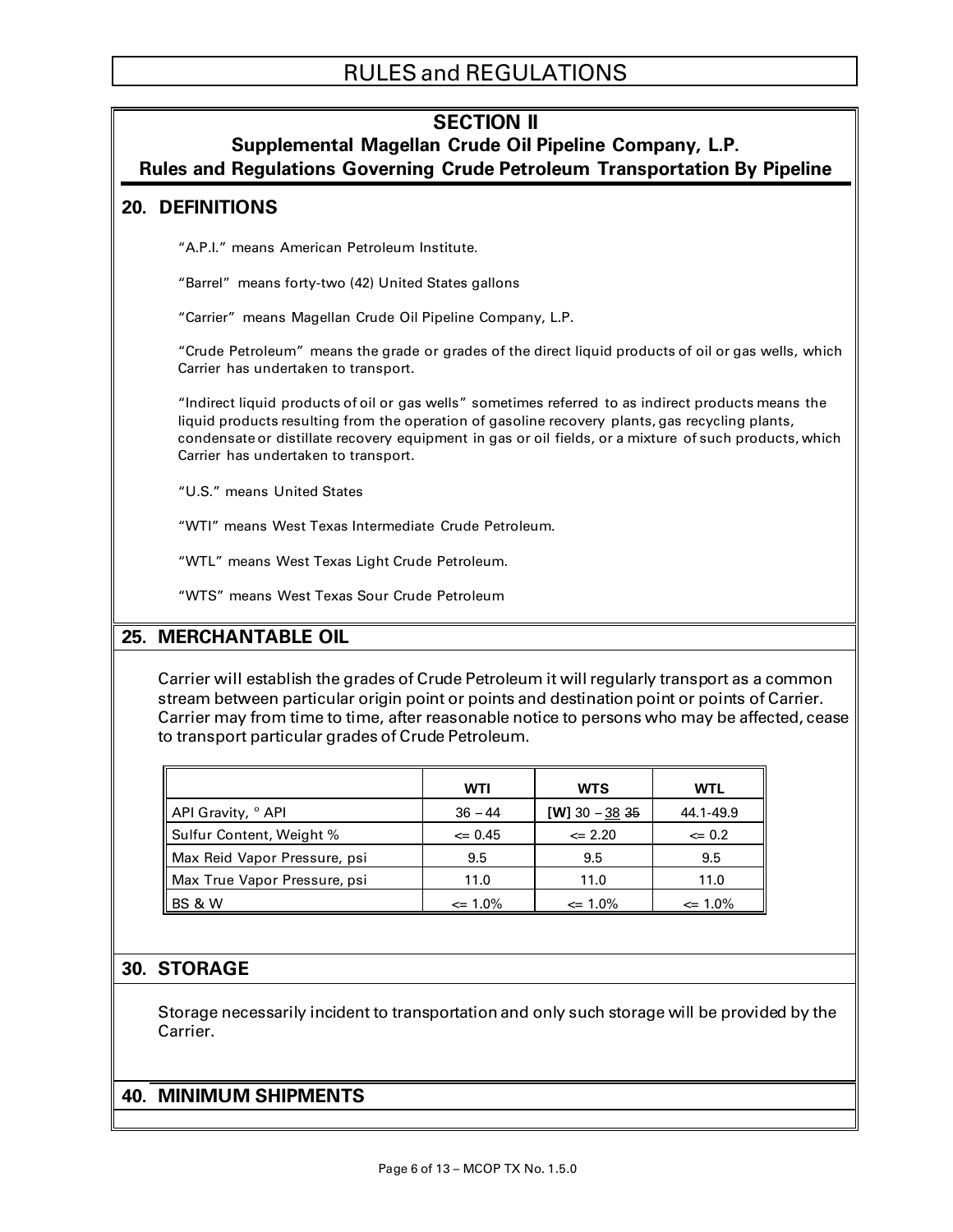# **SECTION II**

**Supplemental Magellan Crude Oil Pipeline Company, L.P.** 

**Rules and Regulations Governing Crude Petroleum Transportation By Pipeline**

### **20. DEFINITIONS**

"A.P.I." means American Petroleum Institute.

"Barrel" means forty-two (42) United States gallons

"Carrier" means Magellan Crude Oil Pipeline Company, L.P.

"Crude Petroleum" means the grade or grades of the direct liquid products of oil or gas wells, which Carrier has undertaken to transport.

"Indirect liquid products of oil or gas wells" sometimes referred to as indirect products means the liquid products resulting from the operation of gasoline recovery plants, gas recycling plants, condensate or distillate recovery equipment in gas or oil fields, or a mixture of such products, which Carrier has undertaken to transport.

"U.S." means United States

"WTI" means West Texas Intermediate Crude Petroleum.

"WTL" means West Texas Light Crude Petroleum.

"WTS" means West Texas Sour Crude Petroleum

## **25. MERCHANTABLE OIL**

Carrier will establish the grades of Crude Petroleum it will regularly transport as a common stream between particular origin point or points and destination point or points of Carrier. Carrier may from time to time, after reasonable notice to persons who may be affected, cease to transport particular grades of Crude Petroleum.

|                               | WTI          | <b>WTS</b>     | WTL          |
|-------------------------------|--------------|----------------|--------------|
| API Gravity, <sup>o</sup> API | $36 - 44$    | [W] 30 - 38 35 | 44.1-49.9    |
| Sulfur Content, Weight %      | $\leq 0.45$  | $\leq 2.20$    | $\leq 0.2$   |
| Max Reid Vapor Pressure, psi  | 9.5          | 9.5            | 9.5          |
| Max True Vapor Pressure, psi  | 11.0         | 11.0           | 11.0         |
| BS & W                        | $\leq 1.0\%$ | $\leq 1.0\%$   | $\leq 1.0\%$ |

#### **30. STORAGE**

Storage necessarily incident to transportation and only such storage will be provided by the Carrier.

### **40. MINIMUM SHIPMENTS**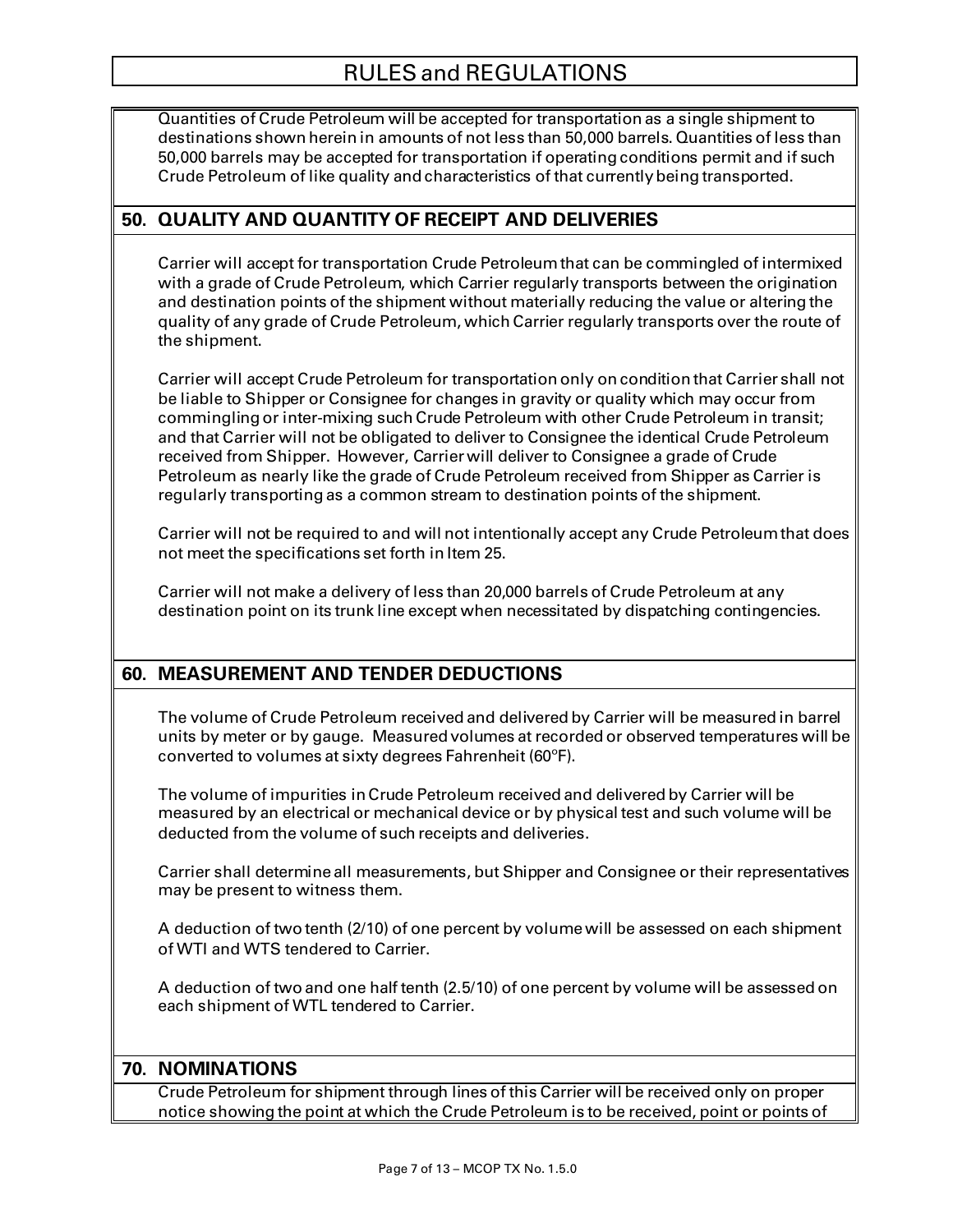Quantities of Crude Petroleum will be accepted for transportation as a single shipment to destinations shown herein in amounts of not less than 50,000 barrels. Quantities of less than 50,000 barrels may be accepted for transportation if operating conditions permit and if such Crude Petroleum of like quality and characteristics of that currentlybeing transported.

## **50. QUALITY AND QUANTITY OF RECEIPT AND DELIVERIES**

Carrier will accept for transportation Crude Petroleum that can be commingled of intermixed with a grade of Crude Petroleum, which Carrier regularly transports between the origination and destination points of the shipment without materially reducing the value or altering the quality of any grade of Crude Petroleum, which Carrier regularly transports over the route of the shipment.

Carrier will accept Crude Petroleum for transportation only on condition that Carrier shall not be liable to Shipper or Consignee for changes in gravity or quality which may occur from commingling or inter-mixing such Crude Petroleum with other Crude Petroleum in transit; and that Carrier will not be obligated to deliver to Consignee the identical Crude Petroleum received from Shipper. However, Carrier will deliver to Consignee a grade of Crude Petroleum as nearly like the grade of Crude Petroleum received from Shipper as Carrier is regularly transporting as a common stream to destination points of the shipment.

Carrier will not be required to and will not intentionally accept any Crude Petroleum that does not meet the specifications set forth in Item 25.

Carrier will not make a delivery of less than 20,000 barrels of Crude Petroleum at any destination point on its trunk line except when necessitated by dispatching contingencies.

# **60. MEASUREMENT AND TENDER DEDUCTIONS**

The volume of Crude Petroleum received and delivered by Carrier will be measured in barrel units by meter or by gauge. Measured volumes at recorded or observed temperatures will be converted to volumes at sixty degrees Fahrenheit (60ºF).

The volume of impurities in Crude Petroleum received and delivered by Carrier will be measured by an electrical or mechanical device or by physical test and such volume will be deducted from the volume of such receipts and deliveries.

Carrier shall determine all measurements, but Shipper and Consignee or their representatives may be present to witness them.

A deduction of two tenth (2/10) of one percent by volume will be assessed on each shipment of WTI and WTS tendered to Carrier.

A deduction of two and one half tenth (2.5/10) of one percent by volume will be assessed on each shipment of WTL tendered to Carrier.

#### **70. NOMINATIONS**

Crude Petroleum for shipment through lines of this Carrier will be received only on proper notice showing the point at which the Crude Petroleum is to be received, point or points of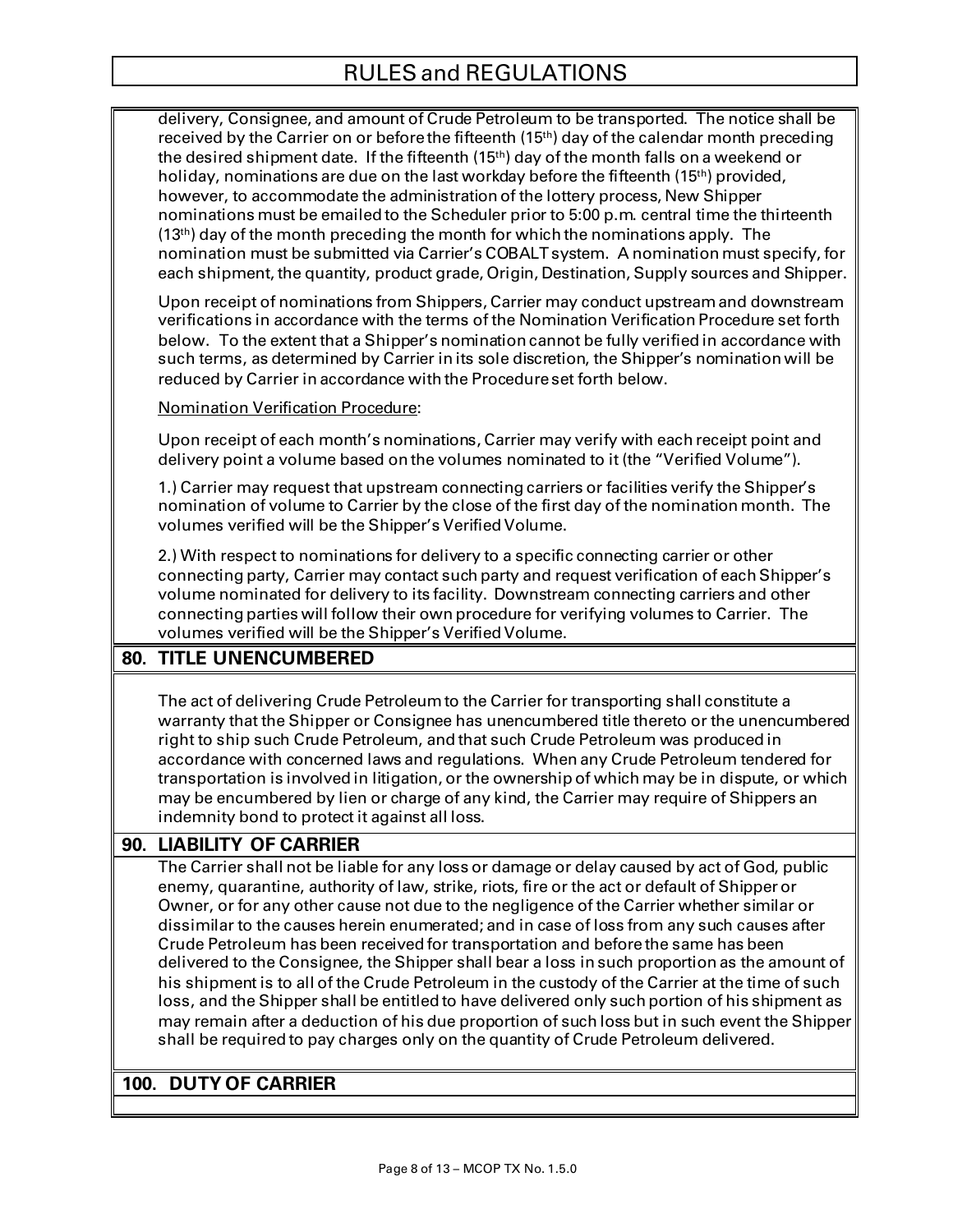delivery, Consignee, and amount of Crude Petroleum to be transported. The notice shall be received by the Carrier on or before the fifteenth (15<sup>th</sup>) day of the calendar month preceding the desired shipment date. If the fifteenth (15th) day of the month falls on a weekend or holiday, nominations are due on the last workday before the fifteenth (15<sup>th</sup>) provided, however, to accommodate the administration of the lottery process, New Shipper nominations must be emailed to the Scheduler prior to 5:00 p.m. central time the thirteenth  $(13<sup>th</sup>)$  day of the month preceding the month for which the nominations apply. The nomination must be submitted via Carrier's COBALT system. A nomination must specify, for each shipment, the quantity, product grade, Origin, Destination, Supply sources and Shipper.

Upon receipt of nominations from Shippers, Carrier may conduct upstream and downstream verifications in accordance with the terms of the Nomination Verification Procedure set forth below. To the extent that a Shipper's nomination cannot be fully verified in accordance with such terms, as determined by Carrier in its sole discretion, the Shipper's nomination will be reduced by Carrier in accordance with the Procedure set forth below.

Nomination Verification Procedure:

Upon receipt of each month's nominations, Carrier may verify with each receipt point and delivery point a volume based on the volumes nominated to it (the "Verified Volume").

1.) Carrier may request that upstream connecting carriers or facilities verify the Shipper's nomination of volume to Carrier by the close of the first day of the nomination month. The volumes verified will be the Shipper's Verified Volume.

2.) With respect to nominations for delivery to a specific connecting carrier or other connecting party, Carrier may contact such party and request verification of each Shipper's volume nominated for delivery to its facility. Downstream connecting carriers and other connecting parties will follow their own procedure for verifying volumes to Carrier. The volumes verified will be the Shipper's Verified Volume.

# **80. TITLE UNENCUMBERED**

The act of delivering Crude Petroleum to the Carrier for transporting shall constitute a warranty that the Shipper or Consignee has unencumbered title thereto or the unencumbered right to ship such Crude Petroleum, and that such Crude Petroleum was produced in accordance with concerned laws and regulations. When any Crude Petroleum tendered for transportation is involved in litigation, or the ownership of which may be in dispute, or which may be encumbered by lien or charge of any kind, the Carrier may require of Shippers an indemnity bond to protect it against all loss.

# **90. LIABILITY OF CARRIER**

The Carrier shall not be liable for any loss or damage or delay caused by act of God, public enemy, quarantine, authority of law, strike, riots, fire or the act or default of Shipper or Owner, or for any other cause not due to the negligence of the Carrier whether similar or dissimilar to the causes herein enumerated; and in case of loss from any such causes after Crude Petroleum has been received for transportation and before the same has been delivered to the Consignee, the Shipper shall bear a loss in such proportion as the amount of his shipment is to all of the Crude Petroleum in the custody of the Carrier at the time of such loss, and the Shipper shall be entitled to have delivered only such portion of his shipment as may remain after a deduction of his due proportion of such loss but in such event the Shipper shall be required to pay charges only on the quantity of Crude Petroleum delivered.

## **100. DUTY OF CARRIER**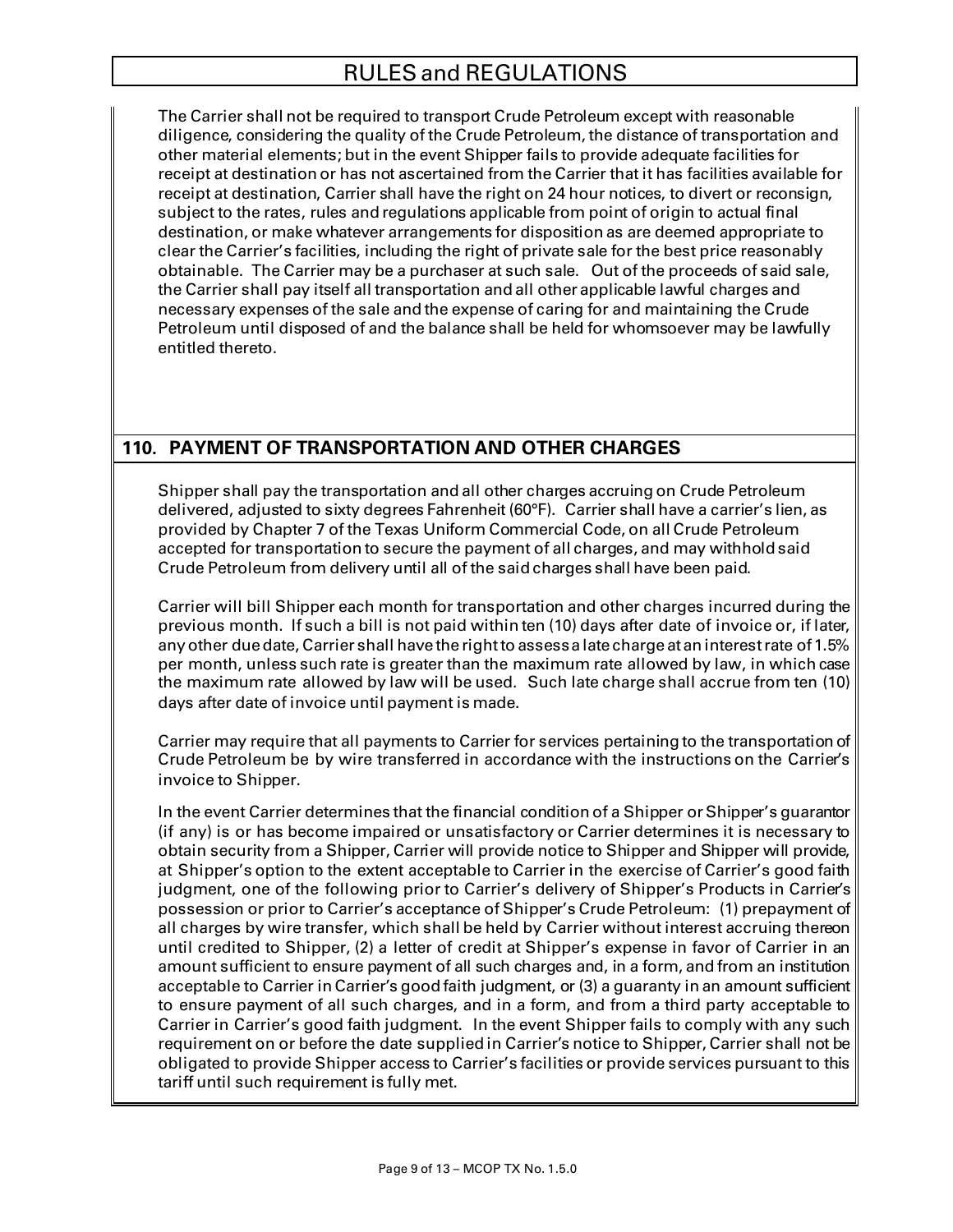The Carrier shall not be required to transport Crude Petroleum except with reasonable diligence, considering the quality of the Crude Petroleum, the distance of transportation and other material elements; but in the event Shipper fails to provide adequate facilities for receipt at destination or has not ascertained from the Carrier that it has facilities available for receipt at destination, Carrier shall have the right on 24 hour notices, to divert or reconsign, subject to the rates, rules and regulations applicable from point of origin to actual final destination, or make whatever arrangements for disposition as are deemed appropriate to clear the Carrier's facilities, including the right of private sale for the best price reasonably obtainable. The Carrier may be a purchaser at such sale. Out of the proceeds of said sale, the Carrier shall pay itself all transportation and all other applicable lawful charges and necessary expenses of the sale and the expense of caring for and maintaining the Crude Petroleum until disposed of and the balance shall be held for whomsoever may be lawfully entitled thereto.

# **110. PAYMENT OF TRANSPORTATION AND OTHER CHARGES**

Shipper shall pay the transportation and all other charges accruing on Crude Petroleum delivered, adjusted to sixty degrees Fahrenheit (60°F). Carrier shall have a carrier's lien, as provided by Chapter 7 of the Texas Uniform Commercial Code, on all Crude Petroleum accepted for transportation to secure the payment of all charges, and may withhold said Crude Petroleum from delivery until all of the said charges shall have been paid.

Carrier will bill Shipper each month for transportation and other charges incurred during the previous month. If such a bill is not paid within ten (10) days after date of invoice or, if later, anyother due date, Carrier shall have the right to assess a late charge at an interest rate of 1.5% per month, unless such rate is greater than the maximum rate allowed by law, in which case the maximum rate allowed by law will be used. Such late charge shall accrue from ten (10) days after date of invoice until payment is made.

Carrier may require that all payments to Carrier for services pertaining to the transportation of Crude Petroleum be by wire transferred in accordance with the instructions on the Carrier's invoice to Shipper.

In the event Carrier determines that the financial condition of a Shipper or Shipper's guarantor (if any) is or has become impaired or unsatisfactory or Carrier determines it is necessary to obtain security from a Shipper, Carrier will provide notice to Shipper and Shipper will provide, at Shipper's option to the extent acceptable to Carrier in the exercise of Carrier's good faith judgment, one of the following prior to Carrier's delivery of Shipper's Products in Carrier's possession or prior to Carrier's acceptance of Shipper's Crude Petroleum: (1) prepayment of all charges by wire transfer, which shall be held by Carrier without interest accruing thereon until credited to Shipper, (2) a letter of credit at Shipper's expense in favor of Carrier in an amount sufficient to ensure payment of all such charges and, in a form, and from an institution acceptable to Carrier in Carrier's good faith judgment, or (3) a guaranty in an amount sufficient to ensure payment of all such charges, and in a form, and from a third party acceptable to Carrier in Carrier's good faith judgment. In the event Shipper fails to comply with any such requirement on or before the date supplied in Carrier's notice to Shipper, Carrier shall not be obligated to provide Shipper access to Carrier's facilities or provide services pursuant to this tariff until such requirement is fully met.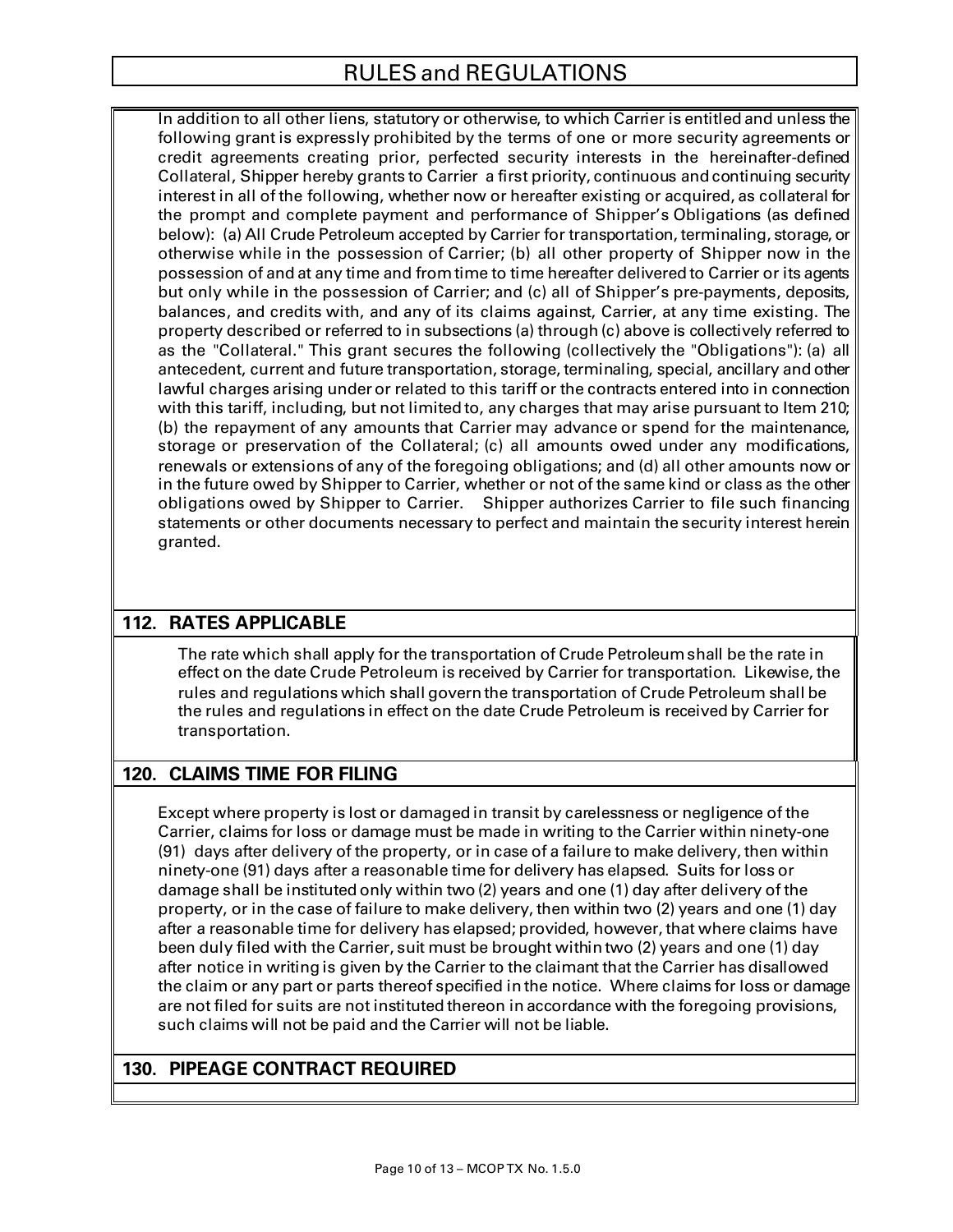In addition to all other liens, statutory or otherwise, to which Carrier is entitled and unless the following grant is expressly prohibited by the terms of one or more security agreements or credit agreements creating prior, perfected security interests in the hereinafter-defined Collateral, Shipper hereby grants to Carrier a first priority, continuous and continuing security interest in all of the following, whether now or hereafter existing or acquired, as collateral for the prompt and complete payment and performance of Shipper's Obligations (as defined below): (a) All Crude Petroleum accepted by Carrier for transportation, terminaling, storage, or otherwise while in the possession of Carrier; (b) all other property of Shipper now in the possession of and at any time and from time to time hereafter delivered to Carrier or its agents but only while in the possession of Carrier; and (c) all of Shipper's pre-payments, deposits, balances, and credits with, and any of its claims against, Carrier, at any time existing. The property described or referred to in subsections (a) through (c) above is collectively referred to as the "Collateral." This grant secures the following (collectively the "Obligations"): (a) all antecedent, current and future transportation, storage, terminaling, special, ancillary and other lawful charges arising under or related to this tariff or the contracts entered into in connection with this tariff, including, but not limited to, any charges that may arise pursuant to Item 210; (b) the repayment of any amounts that Carrier may advance or spend for the maintenance, storage or preservation of the Collateral; (c) all amounts owed under any modifications, renewals or extensions of any of the foregoing obligations; and (d) all other amounts now or in the future owed by Shipper to Carrier, whether or not of the same kind or class as the other obligations owed by Shipper to Carrier. Shipper authorizes Carrier to file such financing statements or other documents necessary to perfect and maintain the security interest herein granted.

# **112. RATES APPLICABLE**

The rate which shall apply for the transportation of Crude Petroleum shall be the rate in effect on the date Crude Petroleum is received by Carrier for transportation. Likewise, the rules and regulations which shall govern the transportation of Crude Petroleum shall be the rules and regulations in effect on the date Crude Petroleum is received by Carrier for transportation.

## **120. CLAIMS TIME FOR FILING**

Except where property is lost or damaged in transit by carelessness or negligence of the Carrier, claims for loss or damage must be made in writing to the Carrier within ninety-one (91) days after delivery of the property, or in case of a failure to make delivery, then within ninety-one (91) days after a reasonable time for delivery has elapsed. Suits for loss or damage shall be instituted only within two (2) years and one (1) day after delivery of the property, or in the case of failure to make delivery, then within two (2) years and one (1) day after a reasonable time for delivery has elapsed; provided, however, that where claims have been duly filed with the Carrier, suit must be brought within two (2) years and one (1) day after notice in writing is given by the Carrier to the claimant that the Carrier has disallowed the claim or any part or parts thereof specified in the notice. Where claims for loss or damage are not filed for suits are not instituted thereon in accordance with the foregoing provisions, such claims will not be paid and the Carrier will not be liable.

## **130. PIPEAGE CONTRACT REQUIRED**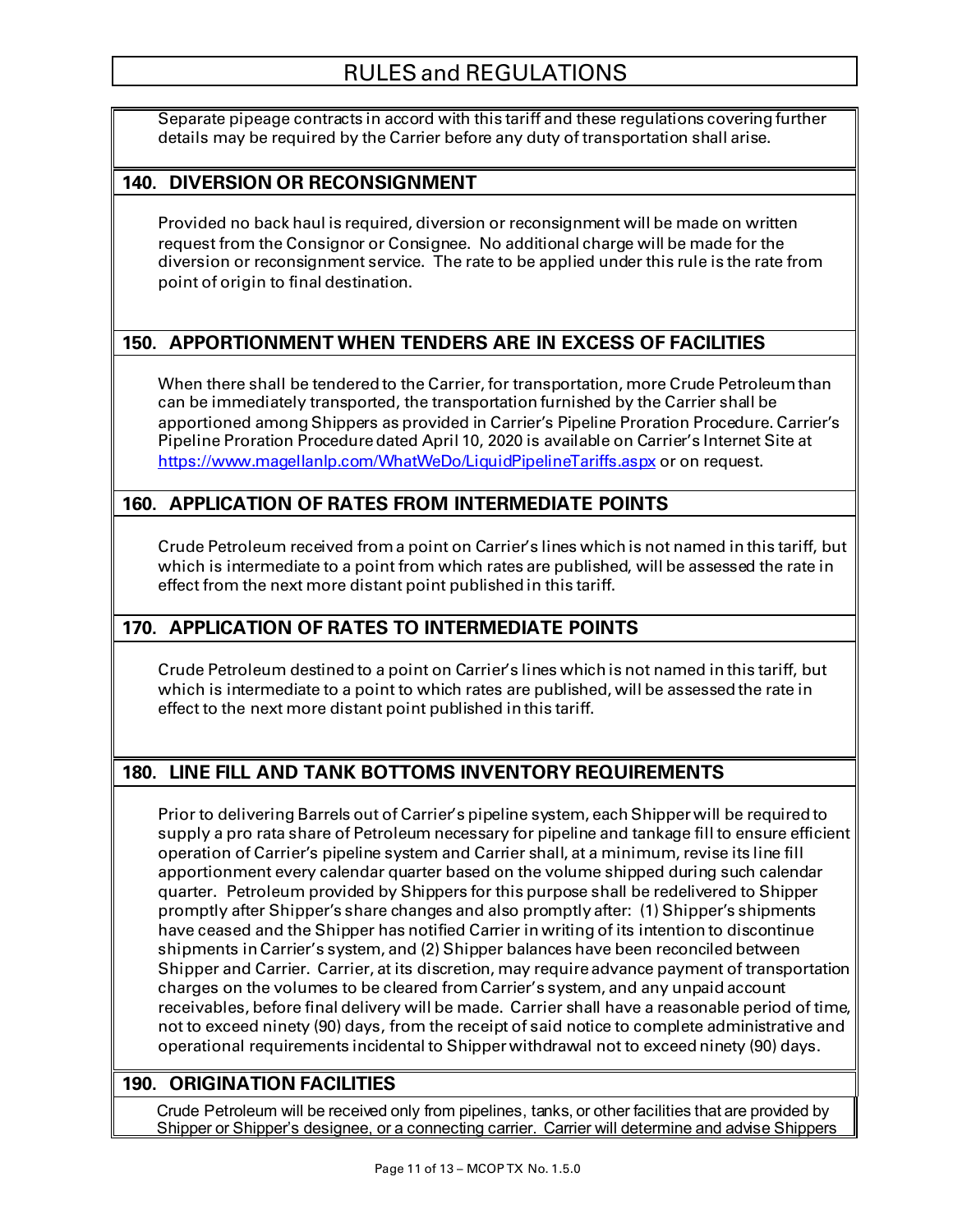Separate pipeage contracts in accord with this tariff and these regulations covering further details may be required by the Carrier before any duty of transportation shall arise.

## **140. DIVERSION OR RECONSIGNMENT**

Provided no back haul is required, diversion or reconsignment will be made on written request from the Consignor or Consignee. No additional charge will be made for the diversion or reconsignment service. The rate to be applied under this rule is the rate from point of origin to final destination.

## **150. APPORTIONMENT WHEN TENDERS ARE IN EXCESS OF FACILITIES**

When there shall be tendered to the Carrier, for transportation, more Crude Petroleum than can be immediately transported, the transportation furnished by the Carrier shall be apportioned among Shippers as provided in Carrier's Pipeline Proration Procedure. Carrier's Pipeline Proration Procedure dated April 10, 2020 is available on Carrier's Internet Site at <https://www.magellanlp.com/WhatWeDo/LiquidPipelineTariffs.aspx> or on request.

## **160. APPLICATION OF RATES FROM INTERMEDIATE POINTS**

Crude Petroleum received from a point on Carrier's lines which is not named in this tariff, but which is intermediate to a point from which rates are published, will be assessed the rate in effect from the next more distant point published in this tariff.

## **170. APPLICATION OF RATES TO INTERMEDIATE POINTS**

Crude Petroleum destined to a point on Carrier's lines which is not named in this tariff, but which is intermediate to a point to which rates are published, will be assessed the rate in effect to the next more distant point published in this tariff.

# **180. LINE FILL AND TANK BOTTOMS INVENTORY REQUIREMENTS**

Prior to delivering Barrels out of Carrier's pipeline system, eachShipper will be required to supply a pro rata share of Petroleum necessary for pipeline and tankage fill to ensure efficient operation of Carrier's pipeline system and Carrier shall, at a minimum,revise its line fill apportionment every calendar quarter based on the volume shipped during such calendar quarter. Petroleum provided by Shippers for this purpose shall be redelivered to Shipper promptly after Shipper's share changes and also promptly after: (1) Shipper's shipments have ceased and the Shipper has notified Carrier in writing of its intention to discontinue shipments in Carrier's system, and (2) Shipper balances have been reconciled between Shipper and Carrier. Carrier, at its discretion, may require advance payment of transportation charges on the volumes to be cleared from Carrier's system, and any unpaid account receivables, before final delivery will be made. Carrier shall have a reasonable period of time, not to exceed ninety (90) days, from the receipt of said notice to complete administrative and operational requirements incidental to Shipper withdrawal not to exceed ninety (90) days.

## **190. ORIGINATION FACILITIES**

Crude Petroleum will be received only from pipelines, tanks, or other facilities that are provided by Shipper or Shipper's designee, or a connecting carrier. Carrier will determine and advise Shippers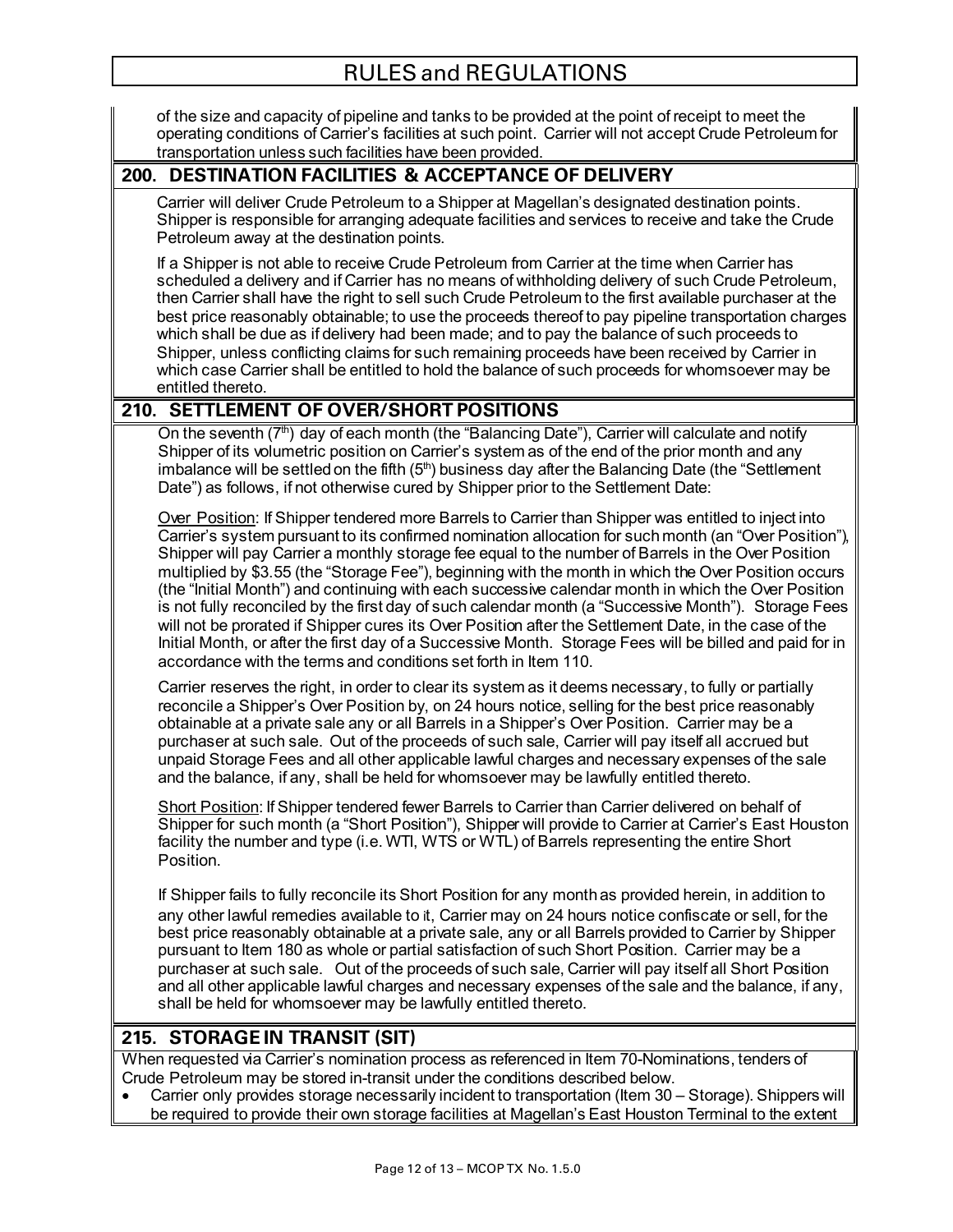of the size and capacity of pipeline and tanks to be provided at the point of receipt to meet the operating conditions of Carrier's facilities at such point. Carrier will not accept Crude Petroleum for transportation unless such facilities have been provided.

### **200. DESTINATION FACILITIES & ACCEPTANCE OF DELIVERY**

Carrier will deliver Crude Petroleum to a Shipper at Magellan's designated destination points. Shipper is responsible for arranging adequate facilities and services to receive and take the Crude Petroleum away at the destination points.

If a Shipper is not able to receive Crude Petroleum from Carrier at the time when Carrier has scheduled a delivery and if Carrier has no means of withholding delivery of such Crude Petroleum, then Carrier shall have the right to sell such Crude Petroleum to the first available purchaser at the best price reasonably obtainable; to use the proceeds thereof to pay pipeline transportation charges which shall be due as if delivery had been made; and to pay the balance of such proceeds to Shipper, unless conflicting claims for such remaining proceeds have been received by Carrier in which case Carrier shall be entitled to hold the balance of such proceeds for whomsoever may be entitled thereto.

## **210. SETTLEMENT OF OVER/SHORT POSITIONS**

On the seventh  $(7<sup>th</sup>)$  day of each month (the "Balancing Date"), Carrier will calculate and notify Shipper of its volumetric position on Carrier's system as of the end of the prior month and any imbalance will be settled on the fifth (5<sup>th</sup>) business day after the Balancing Date (the "Settlement Date") as follows, if not otherwise cured by Shipper prior to the Settlement Date:

Over Position: If Shipper tendered more Barrels to Carrier than Shipper was entitled to inject into Carrier's system pursuant to its confirmed nomination allocation for such month (an "Over Position"), Shipper will pay Carrier a monthly storage fee equal to the number of Barrels in the Over Position multiplied by \$3.55 (the "Storage Fee"), beginning with the month in which the Over Position occurs (the "Initial Month") and continuing with each successive calendar month in which the Over Position is not fully reconciled by the first day of such calendar month (a "Successive Month"). Storage Fees will not be prorated if Shipper cures its Over Position after the Settlement Date, in the case of the Initial Month, or after the first day of a Successive Month. Storage Fees will be billed and paid for in accordance with the terms and conditions set forth in Item 110.

Carrier reserves the right, in order to clear its system as it deems necessary, to fully or partially reconcile a Shipper's Over Position by, on 24 hours notice, selling for the best price reasonably obtainable at a private sale any or all Barrels in a Shipper's Over Position. Carrier may be a purchaser at such sale. Out of the proceeds of such sale, Carrier will pay itself all accrued but unpaid Storage Fees and all other applicable lawful charges and necessary expenses of the sale and the balance, if any, shall be held for whomsoever may be lawfully entitled thereto.

Short Position: If Shipper tendered fewer Barrels to Carrier than Carrier delivered on behalf of Shipper for such month (a "Short Position"), Shipper will provide to Carrier at Carrier's East Houston facility the number and type (i.e. WTI, WTS or WTL) of Barrels representing the entire Short **Position** 

If Shipper fails to fully reconcile its Short Position for any month as provided herein, in addition to any other lawful remedies available to it, Carrier may on 24 hours notice confiscate or sell, for the best price reasonably obtainable at a private sale, any or all Barrels provided to Carrier by Shipper pursuant to Item 180 as whole or partial satisfaction of such Short Position. Carrier may be a purchaser at such sale. Out of the proceeds of such sale, Carrier will pay itself all Short Position and all other applicable lawful charges and necessary expenses of the sale and the balance, if any, shall be held for whomsoever may be lawfully entitled thereto.

#### **215. STORAGE IN TRANSIT (SIT)**

When requested via Carrier's nomination process as referenced in Item 70-Nominations, tenders of Crude Petroleum may be stored in-transit under the conditions described below.

• Carrier only provides storage necessarily incident to transportation (Item 30 – Storage). Shippers will be required to provide their own storage facilities at Magellan's East Houston Terminal to the extent